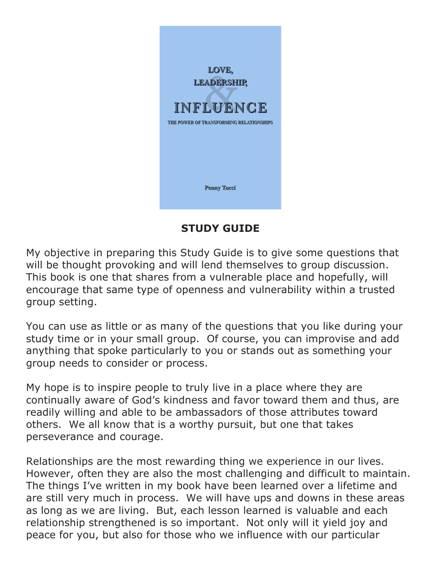

# **STUDY GUIDE**

My objective in preparing this Study Guide is to give some questions that will be thought provoking and will lend themselves to group discussion. This book is one that shares from a vulnerable place and hopefully, will encourage that same type of openness and vulnerability within a trusted group setting.

You can use as little or as many of the questions that you like during your study time or in your small group. Of course, you can improvise and add anything that spoke particularly to you or stands out as something your group needs to consider or process.

My hope is to inspire people to truly live in a place where they are continually aware of God's kindness and favor toward them and thus, are readily willing and able to be ambassadors of those attributes toward others. We all know that is a worthy pursuit, but one that takes perseverance and courage.

Relationships are the most rewarding thing we experience in our lives. However, often they are also the most challenging and difficult to maintain. The things I've written in my book have been learned over a lifetime and are still very much in process. We will have ups and downs in these areas as long as we are living. But, each lesson learned is valuable and each relationship strengthened is so important. Not only will it yield joy and peace for you, but also for those who we influence with our particular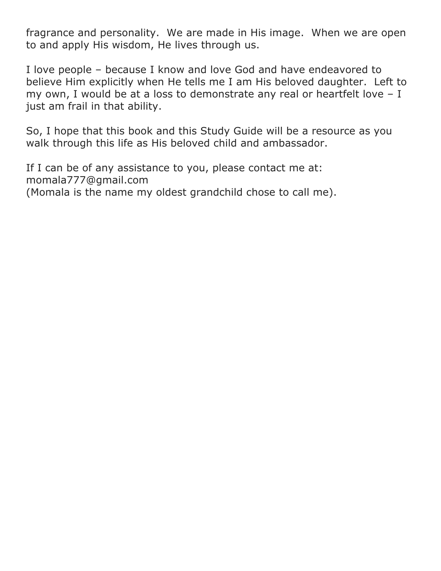fragrance and personality. We are made in His image. When we are open to and apply His wisdom, He lives through us.

I love people – because I know and love God and have endeavored to believe Him explicitly when He tells me I am His beloved daughter. Left to my own, I would be at a loss to demonstrate any real or heartfelt love – I just am frail in that ability.

So, I hope that this book and this Study Guide will be a resource as you walk through this life as His beloved child and ambassador.

If I can be of any assistance to you, please contact me at: momala777@gmail.com (Momala is the name my oldest grandchild chose to call me).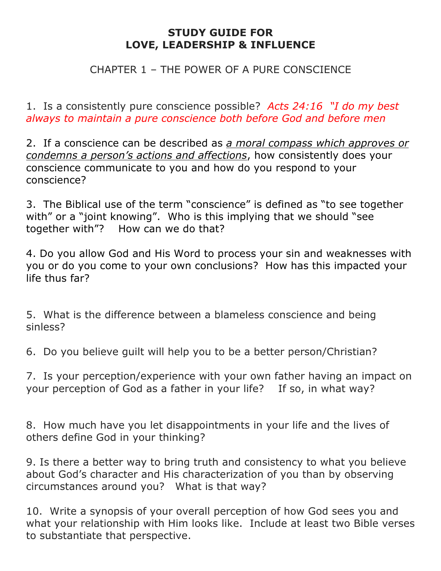#### CHAPTER 1 – THE POWER OF A PURE CONSCIENCE

1. Is a consistently pure conscience possible? *Acts 24:16 "I do my best always to maintain a pure conscience both before God and before men*

2. If a conscience can be described as *a moral compass which approves or condemns a person's actions and affections*, how consistently does your conscience communicate to you and how do you respond to your conscience?

3. The Biblical use of the term "conscience" is defined as "to see together with" or a "joint knowing". Who is this implying that we should "see together with"? How can we do that?

4. Do you allow God and His Word to process your sin and weaknesses with you or do you come to your own conclusions? How has this impacted your life thus far?

5. What is the difference between a blameless conscience and being sinless?

6. Do you believe guilt will help you to be a better person/Christian?

7. Is your perception/experience with your own father having an impact on your perception of God as a father in your life? If so, in what way?

8. How much have you let disappointments in your life and the lives of others define God in your thinking?

9. Is there a better way to bring truth and consistency to what you believe about God's character and His characterization of you than by observing circumstances around you? What is that way?

10. Write a synopsis of your overall perception of how God sees you and what your relationship with Him looks like. Include at least two Bible verses to substantiate that perspective.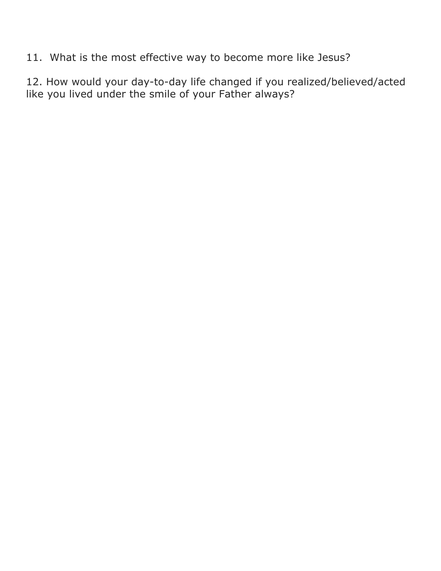11. What is the most effective way to become more like Jesus?

12. How would your day-to-day life changed if you realized/believed/acted like you lived under the smile of your Father always?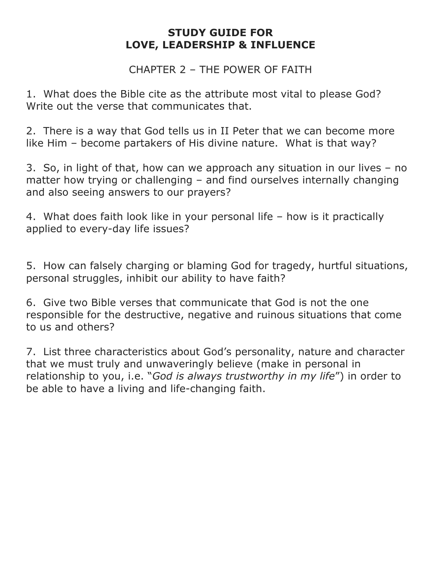CHAPTER 2 – THE POWER OF FAITH

1. What does the Bible cite as the attribute most vital to please God? Write out the verse that communicates that.

2. There is a way that God tells us in II Peter that we can become more like Him – become partakers of His divine nature. What is that way?

3. So, in light of that, how can we approach any situation in our lives – no matter how trying or challenging – and find ourselves internally changing and also seeing answers to our prayers?

4. What does faith look like in your personal life – how is it practically applied to every-day life issues?

5. How can falsely charging or blaming God for tragedy, hurtful situations, personal struggles, inhibit our ability to have faith?

6. Give two Bible verses that communicate that God is not the one responsible for the destructive, negative and ruinous situations that come to us and others?

7. List three characteristics about God's personality, nature and character that we must truly and unwaveringly believe (make in personal in relationship to you, i.e. "*God is always trustworthy in my life*") in order to be able to have a living and life-changing faith.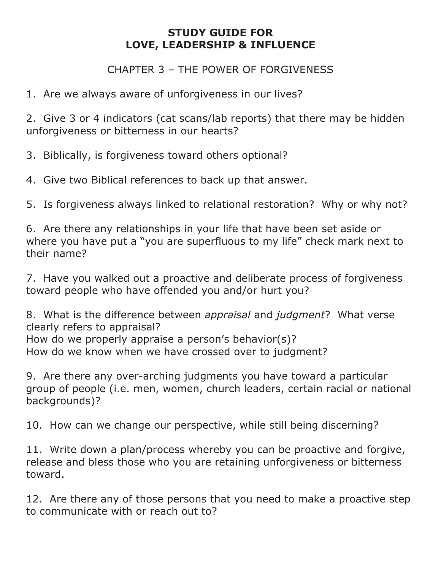CHAPTER 3 – THE POWER OF FORGIVENESS

1. Are we always aware of unforgiveness in our lives?

2. Give 3 or 4 indicators (cat scans/lab reports) that there may be hidden unforgiveness or bitterness in our hearts?

3. Biblically, is forgiveness toward others optional?

4. Give two Biblical references to back up that answer.

5. Is forgiveness always linked to relational restoration? Why or why not?

6. Are there any relationships in your life that have been set aside or where you have put a "you are superfluous to my life" check mark next to their name?

7. Have you walked out a proactive and deliberate process of forgiveness toward people who have offended you and/or hurt you?

8. What is the difference between *appraisal* and *judgment*? What verse clearly refers to appraisal? How do we properly appraise a person's behavior(s)? How do we know when we have crossed over to judgment?

9. Are there any over-arching judgments you have toward a particular group of people (i.e. men, women, church leaders, certain racial or national backgrounds)?

10. How can we change our perspective, while still being discerning?

11. Write down a plan/process whereby you can be proactive and forgive, release and bless those who you are retaining unforgiveness or bitterness toward.

12. Are there any of those persons that you need to make a proactive step to communicate with or reach out to?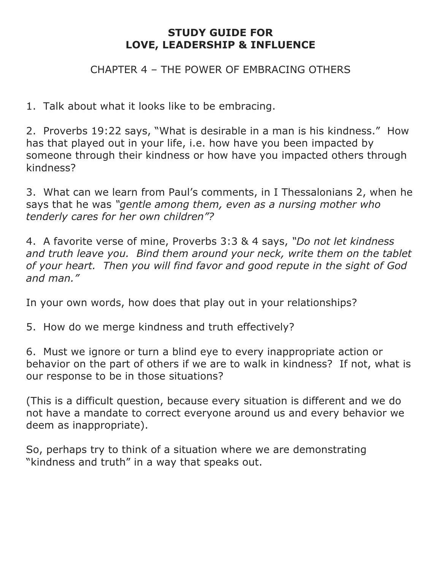#### CHAPTER 4 – THE POWER OF EMBRACING OTHERS

1. Talk about what it looks like to be embracing.

2. Proverbs 19:22 says, "What is desirable in a man is his kindness." How has that played out in your life, i.e. how have you been impacted by someone through their kindness or how have you impacted others through kindness?

3. What can we learn from Paul's comments, in I Thessalonians 2, when he says that he was *"gentle among them, even as a nursing mother who tenderly cares for her own children"?*

4. A favorite verse of mine, Proverbs 3:3 & 4 says, *"Do not let kindness and truth leave you. Bind them around your neck, write them on the tablet of your heart. Then you will find favor and good repute in the sight of God and man."* 

In your own words, how does that play out in your relationships?

5. How do we merge kindness and truth effectively?

6. Must we ignore or turn a blind eye to every inappropriate action or behavior on the part of others if we are to walk in kindness? If not, what is our response to be in those situations?

(This is a difficult question, because every situation is different and we do not have a mandate to correct everyone around us and every behavior we deem as inappropriate).

So, perhaps try to think of a situation where we are demonstrating "kindness and truth" in a way that speaks out.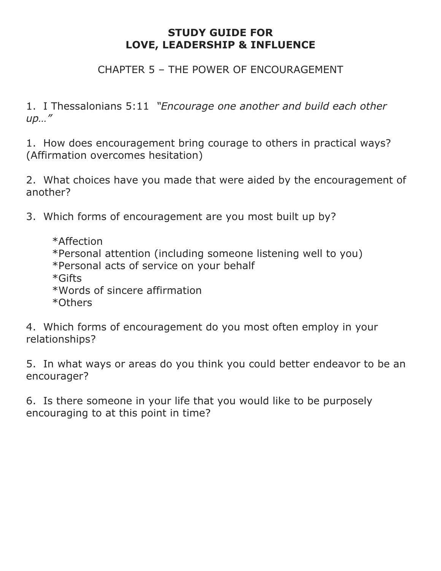#### CHAPTER 5 – THE POWER OF ENCOURAGEMENT

1. I Thessalonians 5:11 *"Encourage one another and build each other up…"* 

1. How does encouragement bring courage to others in practical ways? (Affirmation overcomes hesitation)

2. What choices have you made that were aided by the encouragement of another?

3. Which forms of encouragement are you most built up by?

\*Affection \*Personal attention (including someone listening well to you) \*Personal acts of service on your behalf \*Gifts \*Words of sincere affirmation \*Others

4. Which forms of encouragement do you most often employ in your relationships?

5. In what ways or areas do you think you could better endeavor to be an encourager?

6. Is there someone in your life that you would like to be purposely encouraging to at this point in time?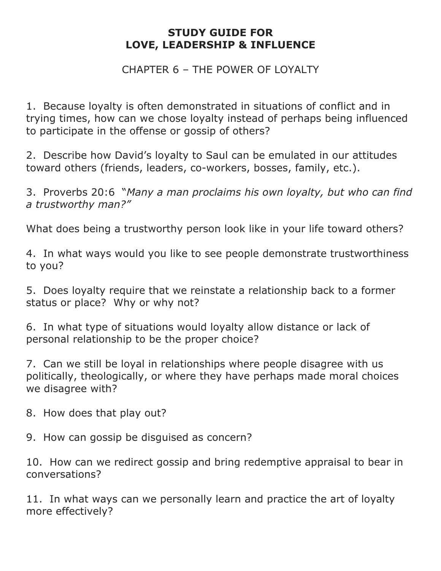CHAPTER 6 – THE POWER OF LOYALTY

1. Because loyalty is often demonstrated in situations of conflict and in trying times, how can we chose loyalty instead of perhaps being influenced to participate in the offense or gossip of others?

2. Describe how David's loyalty to Saul can be emulated in our attitudes toward others (friends, leaders, co-workers, bosses, family, etc.).

3. Proverbs 20:6 "*Many a man proclaims his own loyalty, but who can find a trustworthy man?"*

What does being a trustworthy person look like in your life toward others?

4. In what ways would you like to see people demonstrate trustworthiness to you?

5. Does loyalty require that we reinstate a relationship back to a former status or place? Why or why not?

6. In what type of situations would loyalty allow distance or lack of personal relationship to be the proper choice?

7. Can we still be loyal in relationships where people disagree with us politically, theologically, or where they have perhaps made moral choices we disagree with?

8. How does that play out?

9. How can gossip be disguised as concern?

10. How can we redirect gossip and bring redemptive appraisal to bear in conversations?

11. In what ways can we personally learn and practice the art of loyalty more effectively?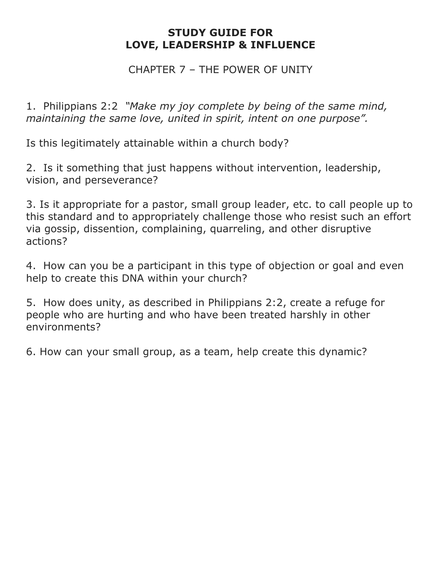#### CHAPTER 7 – THE POWER OF UNITY

1. Philippians 2:2 *"Make my joy complete by being of the same mind, maintaining the same love, united in spirit, intent on one purpose".*

Is this legitimately attainable within a church body?

2. Is it something that just happens without intervention, leadership, vision, and perseverance?

3. Is it appropriate for a pastor, small group leader, etc. to call people up to this standard and to appropriately challenge those who resist such an effort via gossip, dissention, complaining, quarreling, and other disruptive actions?

4. How can you be a participant in this type of objection or goal and even help to create this DNA within your church?

5. How does unity, as described in Philippians 2:2, create a refuge for people who are hurting and who have been treated harshly in other environments?

6. How can your small group, as a team, help create this dynamic?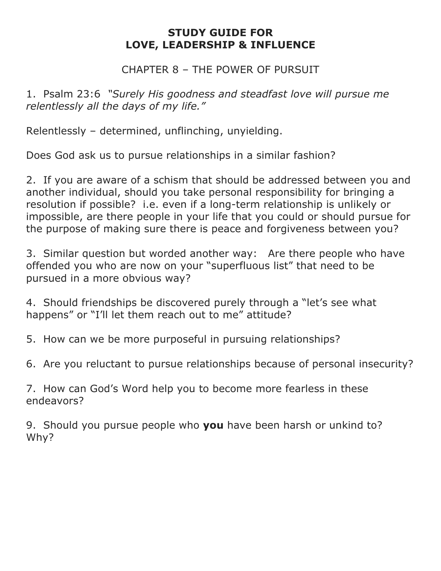#### CHAPTER 8 – THE POWER OF PURSUIT

1. Psalm 23:6 *"Surely His goodness and steadfast love will pursue me relentlessly all the days of my life."*

Relentlessly – determined, unflinching, unyielding.

Does God ask us to pursue relationships in a similar fashion?

2. If you are aware of a schism that should be addressed between you and another individual, should you take personal responsibility for bringing a resolution if possible? i.e. even if a long-term relationship is unlikely or impossible, are there people in your life that you could or should pursue for the purpose of making sure there is peace and forgiveness between you?

3. Similar question but worded another way: Are there people who have offended you who are now on your "superfluous list" that need to be pursued in a more obvious way?

4. Should friendships be discovered purely through a "let's see what happens" or "I'll let them reach out to me" attitude?

5. How can we be more purposeful in pursuing relationships?

6. Are you reluctant to pursue relationships because of personal insecurity?

7. How can God's Word help you to become more fearless in these endeavors?

9. Should you pursue people who **you** have been harsh or unkind to? Why?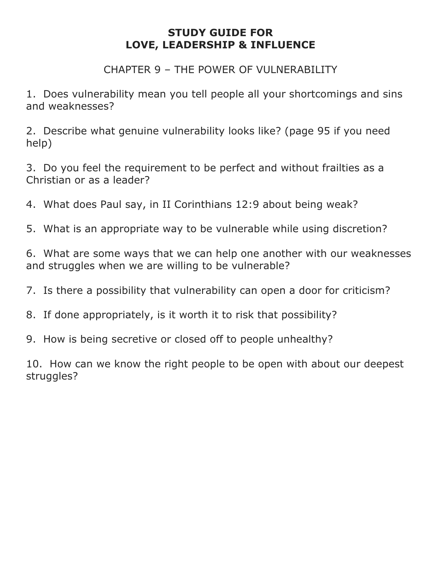CHAPTER 9 - THE POWER OF VULNERABILITY

1. Does vulnerability mean you tell people all your shortcomings and sins and weaknesses?

2. Describe what genuine vulnerability looks like? (page 95 if you need help)

3. Do you feel the requirement to be perfect and without frailties as a Christian or as a leader?

4. What does Paul say, in II Corinthians 12:9 about being weak?

5. What is an appropriate way to be vulnerable while using discretion?

6. What are some ways that we can help one another with our weaknesses and struggles when we are willing to be vulnerable?

7. Is there a possibility that vulnerability can open a door for criticism?

8. If done appropriately, is it worth it to risk that possibility?

9. How is being secretive or closed off to people unhealthy?

10. How can we know the right people to be open with about our deepest struggles?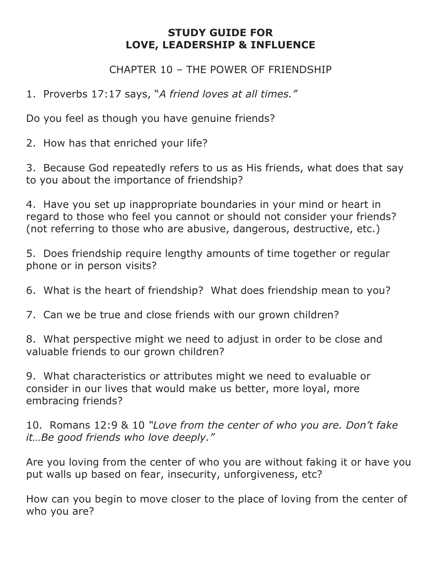CHAPTER 10 – THE POWER OF FRIENDSHIP

1. Proverbs 17:17 says, "*A friend loves at all times."*

Do you feel as though you have genuine friends?

2. How has that enriched your life?

3. Because God repeatedly refers to us as His friends, what does that say to you about the importance of friendship?

4. Have you set up inappropriate boundaries in your mind or heart in regard to those who feel you cannot or should not consider your friends? (not referring to those who are abusive, dangerous, destructive, etc.)

5. Does friendship require lengthy amounts of time together or regular phone or in person visits?

6. What is the heart of friendship? What does friendship mean to you?

7. Can we be true and close friends with our grown children?

8. What perspective might we need to adjust in order to be close and valuable friends to our grown children?

9. What characteristics or attributes might we need to evaluable or consider in our lives that would make us better, more loyal, more embracing friends?

10. Romans 12:9 & 10 *"Love from the center of who you are. Don't fake it…Be good friends who love deeply."* 

Are you loving from the center of who you are without faking it or have you put walls up based on fear, insecurity, unforgiveness, etc?

How can you begin to move closer to the place of loving from the center of who you are?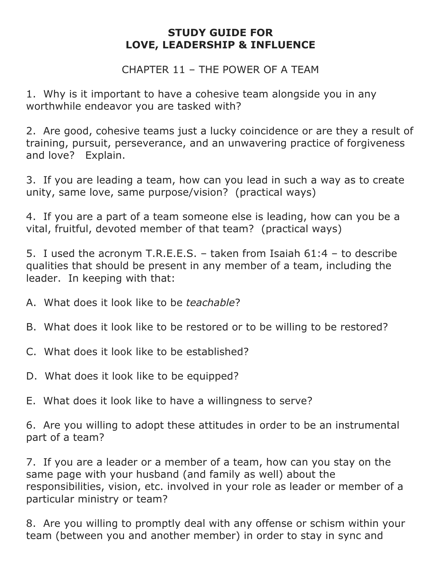CHAPTER 11 – THE POWER OF A TEAM

1. Why is it important to have a cohesive team alongside you in any worthwhile endeavor you are tasked with?

2. Are good, cohesive teams just a lucky coincidence or are they a result of training, pursuit, perseverance, and an unwavering practice of forgiveness and love? Explain.

3. If you are leading a team, how can you lead in such a way as to create unity, same love, same purpose/vision? (practical ways)

4. If you are a part of a team someone else is leading, how can you be a vital, fruitful, devoted member of that team? (practical ways)

5. I used the acronym T.R.E.E.S. – taken from Isaiah 61:4 – to describe qualities that should be present in any member of a team, including the leader. In keeping with that:

- A. What does it look like to be *teachable*?
- B. What does it look like to be restored or to be willing to be restored?
- C. What does it look like to be established?
- D. What does it look like to be equipped?
- E. What does it look like to have a willingness to serve?

6. Are you willing to adopt these attitudes in order to be an instrumental part of a team?

7. If you are a leader or a member of a team, how can you stay on the same page with your husband (and family as well) about the responsibilities, vision, etc. involved in your role as leader or member of a particular ministry or team?

8. Are you willing to promptly deal with any offense or schism within your team (between you and another member) in order to stay in sync and